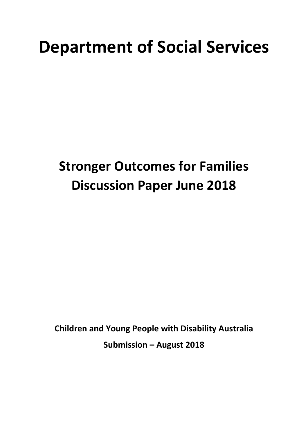# **Department of Social Services**

## **Stronger Outcomes for Families Discussion Paper June 2018**

**Children and Young People with Disability Australia Submission – August 2018**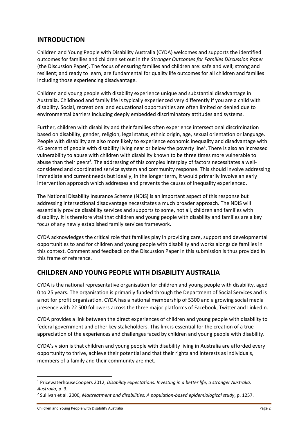## **INTRODUCTION**

Children and Young People with Disability Australia (CYDA) welcomes and supports the identified outcomes for families and children set out in the *Stronger Outcomes for Families Discussion Paper* (the Discussion Paper). The focus of ensuring families and children are: safe and well; strong and resilient; and ready to learn, are fundamental for quality life outcomes for all children and families including those experiencing disadvantage.

Children and young people with disability experience unique and substantial disadvantage in Australia. Childhood and family life is typically experienced very differently if you are a child with disability. Social, recreational and educational opportunities are often limited or denied due to environmental barriers including deeply embedded discriminatory attitudes and systems.

Further, children with disability and their families often experience intersectional discrimination based on disability, gender, religion, legal status, ethnic origin, age, sexual orientation or language. People with disability are also more likely to experience economic inequality and disadvantage with 45 percent of people with disability living near or below the poverty line**<sup>1</sup>** . There is also an increased vulnerability to abuse with children with disability known to be three times more vulnerable to abuse than their peers<sup>2</sup>. The addressing of this complex interplay of factors necessitates a wellconsidered and coordinated service system and community response. This should involve addressing immediate and current needs but ideally, in the longer term, it would primarily involve an early intervention approach which addresses and prevents the causes of inequality experienced.

The National Disability Insurance Scheme (NDIS) is an important aspect of this response but addressing intersectional disadvantage necessitates a much broader approach. The NDIS will essentially provide disability services and supports to some, not all, children and families with disability. It is therefore vital that children and young people with disability and families are a key focus of any newly established family services framework.

CYDA acknowledges the critical role that families play in providing care, support and developmental opportunities to and for children and young people with disability and works alongside families in this context. Comment and feedback on the Discussion Paper in this submission is thus provided in this frame of reference.

## **CHILDREN AND YOUNG PEOPLE WITH DISABILITY AUSTRALIA**

CYDA is the national representative organisation for children and young people with disability, aged 0 to 25 years. The organisation is primarily funded through the Department of Social Services and is a not for profit organisation. CYDA has a national membership of 5300 and a growing social media presence with 22 500 followers across the three major platforms of Facebook, Twitter and LinkedIn.

CYDA provides a link between the direct experiences of children and young people with disability to federal government and other key stakeholders. This link is essential for the creation of a true appreciation of the experiences and challenges faced by children and young people with disability.

CYDA's vision is that children and young people with disability living in Australia are afforded every opportunity to thrive, achieve their potential and that their rights and interests as individuals, members of a family and their community are met.

1

<sup>1</sup> PricewaterhouseCoopers 2012, *Disability expectations: Investing in a better life, a stronger Australia, Australia,* p. 3*.*

<sup>2</sup> Sullivan et al. 2000*, Maltreatment and disabilities: A population-based epidemiological study*, p. 1257.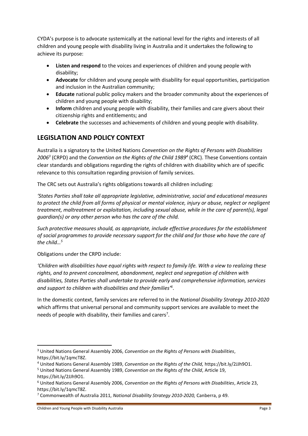CYDA's purpose is to advocate systemically at the national level for the rights and interests of all children and young people with disability living in Australia and it undertakes the following to achieve its purpose:

- **Listen and respond** to the voices and experiences of children and young people with disability;
- **Advocate** for children and young people with disability for equal opportunities, participation and inclusion in the Australian community;
- **Educate** national public policy makers and the broader community about the experiences of children and young people with disability;
- **Inform** children and young people with disability, their families and care givers about their citizenship rights and entitlements; and
- **Celebrate** the successes and achievements of children and young people with disability.

## **LEGISLATION AND POLICY CONTEXT**

Australia is a signatory to the United Nations *Convention on the Rights of Persons with Disabilities 2006<sup>3</sup>* (CRPD) and the *Convention on the Rights of the Child 1989<sup>4</sup>* (CRC). These Conventions contain clear standards and obligations regarding the rights of children with disability which are of specific relevance to this consultation regarding provision of family services.

The CRC sets out Australia's rights obligations towards all children including:

*'States Parties shall take all appropriate legislative, administrative, social and educational measures to protect the child from all forms of physical or mental violence, injury or abuse, neglect or negligent treatment, maltreatment or exploitation, including sexual abuse, while in the care of parent(s), legal guardian(s) or any other person who has the care of the child.*

*Such protective measures should, as appropriate, include effective procedures for the establishment of social programmes to provide necessary support for the child and for those who have the care of the child…<sup>5</sup>*

Obligations under the CRPD include:

*'Children with disabilities have equal rights with respect to family life. With a view to realizing these rights, and to prevent concealment, abandonment, neglect and segregation of children with disabilities, States Parties shall undertake to provide early and comprehensive information, services and support to children with disabilities and their families'<sup>6</sup>* .

In the domestic context, family services are referred to in the *National Disability Strategy 2010-2020* which affirms that universal personal and community support services are available to meet the needs of people with disability, their families and carers<sup>7</sup>.

**<sup>.</sup>** <sup>3</sup> United Nations General Assembly 2006, *Convention on the Rights of Persons with Disabilities*, https://bit.ly/1qmcT8Z.

<sup>4</sup> United Nations General Assembly 1989, *Convention on the Rights of the Child,* https://bit.ly/2JJh9O1.

<sup>5</sup> United Nations General Assembly 1989, *Convention on the Rights of the Child*, Article 19, https://bit.ly/2JJh9O1.

<sup>6</sup> United Nations General Assembly 2006, *Convention on the Rights of Persons with Disabilities*, Article 23, https://bit.ly/1qmcT8Z.

<sup>7</sup> Commonwealth of Australia 2011, *National Disability Strategy 2010-2020,* Canberra, p 49.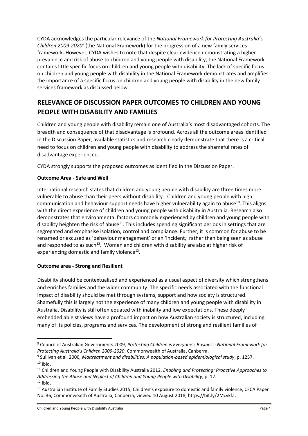CYDA acknowledges the particular relevance of the *National Framework for Protecting Australia's Children 2009-2020<sup>8</sup>* (the National Framework) for the progression of a new family services framework. However, CYDA wishes to note that despite clear evidence demonstrating a higher prevalence and risk of abuse to children and young people with disability, the National Framework contains little specific focus on children and young people with disability. The lack of specific focus on children and young people with disability in the National Framework demonstrates and amplifies the importance of a specific focus on children and young people with disability in the new family services framework as discussed below.

## **RELEVANCE OF DISCUSSION PAPER OUTCOMES TO CHILDREN AND YOUNG PEOPLE WITH DISABILITY AND FAMILIES**

Children and young people with disability remain one of Australia's most disadvantaged cohorts. The breadth and consequence of that disadvantage is profound. Across all the outcome areas identified in the Discussion Paper, available statistics and research clearly demonstrate that there is a critical need to focus on children and young people with disability to address the shameful rates of disadvantage experienced.

CYDA strongly supports the proposed outcomes as identified in the Discussion Paper.

#### **Outcome Area - Safe and Well**

International research states that children and young people with disability are three times more vulnerable to abuse than their peers without disability<sup>9</sup>. Children and young people with high communication and behaviour support needs have higher vulnerability again to abuse<sup>10</sup>. This aligns with the direct experience of children and young people with disability in Australia. Research also demonstrates that environmental factors commonly experienced by children and young people with disability heighten the risk of abuse<sup>11</sup>. This includes spending significant periods in settings that are segregated and emphasise isolation, control and compliance. Further, it is common for abuse to be renamed or excused as 'behaviour management' or an 'incident,' rather than being seen as abuse and responded to as such<sup>12</sup>. Women and children with disability are also at higher risk of experiencing domestic and family violence<sup>13</sup>.

#### **Outcome area - Strong and Resilient**

 $\overline{\phantom{a}}$ 

Disability should be contextualised and experienced as a usual aspect of diversity which strengthens and enriches families and the wider community. The specific needs associated with the functional impact of disability should be met through systems, support and how society is structured. Shamefully this is largely not the experience of many children and young people with disability in Australia. Disability is still often equated with inability and low expectations. These deeply embedded ableist views have a profound impact on how Australian society is structured, including many of its policies, programs and services. The development of strong and resilient families of

<sup>8</sup> Council of Australian Governments 2009, *Protecting Children is Everyone's Business: National Framework for Protecting Australia's Children 2009-2020*, Commonwealth of Australia, Canberra.

<sup>9</sup> Sullivan et al. 2000*, Maltreatment and disabilities: A population-based epidemiological study*, p. 1257.  $10$  Ibid.

<sup>11</sup> Children and Young People with Disability Australia 2012, *Enabling and Protecting: Proactive Approaches to Addressing the Abuse and Neglect of Children and Young People with Disability,* p. 12.  $12$  Ibid.

<sup>&</sup>lt;sup>13</sup> Australian Institute of Family Studies 2015, Children's exposure to domestic and family violence, CFCA Paper No. 36, Commonwealth of Australia, Canberra, viewed 10 August 2018, https://bit.ly/2Mcvkfa.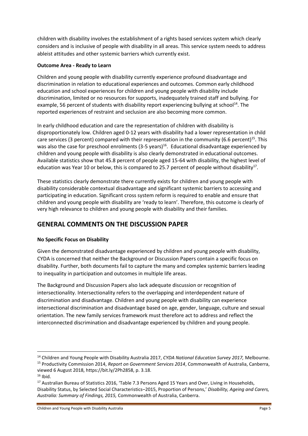children with disability involves the establishment of a rights based services system which clearly considers and is inclusive of people with disability in all areas. This service system needs to address ableist attitudes and other systemic barriers which currently exist.

#### **Outcome Area - Ready to Learn**

Children and young people with disability currently experience profound disadvantage and discrimination in relation to educational experiences and outcomes. Common early childhood education and school experiences for children and young people with disability include discrimination, limited or no resources for supports, inadequately trained staff and bullying. For example, 56 percent of students with disability report experiencing bullying at school<sup>14</sup>. The reported experiences of restraint and seclusion are also becoming more common.

In early childhood education and care the representation of children with disability is disproportionately low. Children aged 0-12 years with disability had a lower representation in child care services (3 percent) compared with their representation in the community (6.6 percent)<sup>15</sup>. This was also the case for preschool enrolments (3-5 years)<sup>16</sup>. Educational disadvantage experienced by children and young people with disability is also clearly demonstrated in educational outcomes. Available statistics show that 45.8 percent of people aged 15-64 with disability, the highest level of education was Year 10 or below, this is compared to 25.7 percent of people without disability<sup>17</sup>.

These statistics clearly demonstrate there currently exists for children and young people with disability considerable contextual disadvantage and significant systemic barriers to accessing and participating in education. Significant cross system reform is required to enable and ensure that children and young people with disability are 'ready to learn'. Therefore, this outcome is clearly of very high relevance to children and young people with disability and their families.

## **GENERAL COMMENTS ON THE DISCUSSION PAPER**

#### **No Specific Focus on Disability**

Given the demonstrated disadvantage experienced by children and young people with disability, CYDA is concerned that neither the Background or Discussion Papers contain a specific focus on disability. Further, both documents fail to capture the many and complex systemic barriers leading to inequality in participation and outcomes in multiple life areas.

The Background and Discussion Papers also lack adequate discussion or recognition of intersectionality. Intersectionality refers to the overlapping and interdependent nature of discrimination and disadvantage. Children and young people with disability can experience intersectional discrimination and disadvantage based on age, gender, language, culture and sexual orientation. The new family services framework must therefore act to address and reflect the interconnected discrimination and disadvantage experienced by children and young people.

 $\overline{\phantom{a}}$ 

<sup>14</sup> Children and Young People with Disability Australia 2017, *CYDA National Education Survey 2017,* Melbourne. <sup>15</sup> Productivity Commission 2014, *Report on Government Services 2014*, Commonwealth of Australia, Canberra, viewed 6 August 2018, https://bit.ly/2Ph2858, p. 3.18.

 $16$  Ibid.

<sup>&</sup>lt;sup>17</sup> Australian Bureau of Statistics 2016, 'Table 7.3 Persons Aged 15 Years and Over, Living in Households, Disability Status, by Selected Social Characteristics–2015, Proportion of Persons,' *Disability, Ageing and Carers, Australia: Summary of Findings, 2015,* Commonwealth of Australia, Canberra.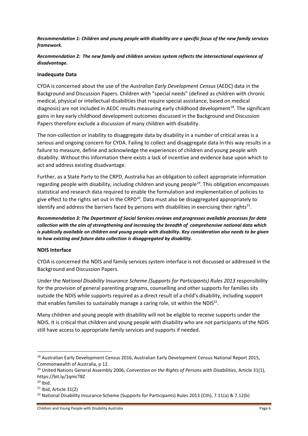*Recommendation 1: Children and young people with disability are a specific focus of the new family services framework.*

*Recommendation 2: The new family and children services system reflects the intersectional experience of disadvantage.*

#### **Inadequate Data**

CYDA is concerned about the use of the *Australian Early Development Census* (AEDC) data in the Background and Discussion Papers. Children with "special needs" (defined as children with chronic medical, physical or intellectual disabilities that require special assistance, based on medical diagnosis) are not included in AEDC results measuring early childhood development<sup>18</sup>. The significant gains in key early childhood development outcomes discussed in the Background and Discussion Papers therefore exclude a discussion of many children with disability.

The non-collection or inability to disaggregate data by disability in a number of critical areas is a serious and ongoing concern for CYDA. Failing to collect and disaggregate data in this way results in a failure to measure, define and acknowledge the experiences of children and young people with disability. Without this information there exists a lack of incentive and evidence base upon which to act and address existing disadvantage.

Further, as a State Party to the CRPD, Australia has an obligation to collect appropriate information regarding people with disability, including children and young people<sup>19</sup>. This obligation encompasses statistical and research data required to enable the formulation and implementation of policies to give effect to the rights set out in the CRPD<sup>20</sup>. Data must also be disaggregated appropriately to identify and address the barriers faced by persons with disabilities in exercising their rights<sup>21</sup>.

*Recommendation 3: The Department of Social Services reviews and progresses available processes for data collection with the aim of strengthening and increasing the breadth of comprehensive national data which is publically available on children and young people with disability. Key consideration also needs to be given to how existing and future data collection is disaggregated by disability.* 

#### **NDIS Interface**

CYDA is concerned the NDIS and family services system interface is not discussed or addressed in the Background and Discussion Papers.

Under the *National Disability Insurance Scheme (Supports for Participants) Rules 2013* responsibility for the provision of general parenting programs, counselling and other supports for families sits outside the NDIS while supports required as a direct result of a child's disability, including support that enables families to sustainably manage a caring role, sit within the NDIS<sup>22</sup>.

Many children and young people with disability will not be eligible to receive supports under the NDIS. It is critical that children and young people with disability who are not participants of the NDIS still have access to appropriate family services and supports if needed.

 $\overline{\phantom{a}}$ 

<sup>&</sup>lt;sup>18</sup> Australian Early Development Census 2016, Australian Early Development Census National Report 2015, Commonwealth of Australia, p 12.

<sup>19</sup> United Nations General Assembly 2006, *Convention on the Rights of Persons with Disabilities*, Article 31(1), https://bit.ly/1qmcT8Z

 $20$  Ibid.

<sup>21</sup> Ibid, Article 31(2)

<sup>22</sup> National Disability Insurance Scheme (Supports for Participants) Rules 2013 (Cth), 7.11(a) & 7.12(b)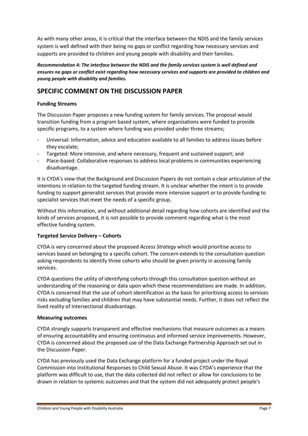As with many other areas, it is critical that the interface between the NDIS and the family services system is well defined with their being no gaps or conflict regarding how necessary services and supports are provided to children and young people with disability and their families.

*Recommendation 4: The interface between the NDIS and the family services system is well defined and ensures no gaps or conflict exist regarding how necessary services and supports are provided to children and young people with disability and families.* 

## **SPECIFIC COMMENT ON THE DISCUSSION PAPER**

#### **Funding Streams**

The Discussion Paper proposes a new funding system for family services. The proposal would transition funding from a program based system, where organisations were funded to provide specific programs, to a system where funding was provided under three streams;

- Universal: Information, advice and education available to all families to address issues before they escalate;
- Targeted: More intensive, and where necessary, frequent and sustained support; and
- Place-based: Collaborative responses to address local problems in communities experiencing disadvantage.

It is CYDA's view that the Background and Discussion Papers do not contain a clear articulation of the intentions in relation to the targeted funding stream. It is unclear whether the intent is to provide funding to support generalist services that provide more intensive support or to provide funding to specialist services that meet the needs of a specific group.

Without this information, and without additional detail regarding how cohorts are identified and the kinds of services proposed, it is not possible to provide comment regarding what is the most effective funding system.

#### **Targeted Service Delivery – Cohorts**

CYDA is very concerned about the proposed *Access Strategy* which would prioritise access to services based on belonging to a specific cohort. The concern extends to the consultation question asking respondents to identify three cohorts who should be given priority in accessing family services.

CYDA questions the utility of identifying cohorts through this consultation question without an understanding of the reasoning or data upon which these recommendations are made. In addition, CYDA is concerned that the use of cohort identification as the basis for prioritising access to services risks excluding families and children that may have substantial needs. Further, it does not reflect the lived reality of intersectional disadvantage.

#### **Measuring outcomes**

CYDA strongly supports transparent and effective mechanisms that measure outcomes as a means of ensuring accountability and ensuring continuous and informed service improvements. However, CYDA is concerned about the proposed use of the Data Exchange Partnership Approach set out in the Discussion Paper.

CYDA has previously used the Data Exchange platform for a funded project under the Royal Commission into Institutional Responses to Child Sexual Abuse. It was CYDA's experience that the platform was difficult to use, that the data collected did not reflect or allow for conclusions to be drawn in relation to systemic outcomes and that the system did not adequately protect people's